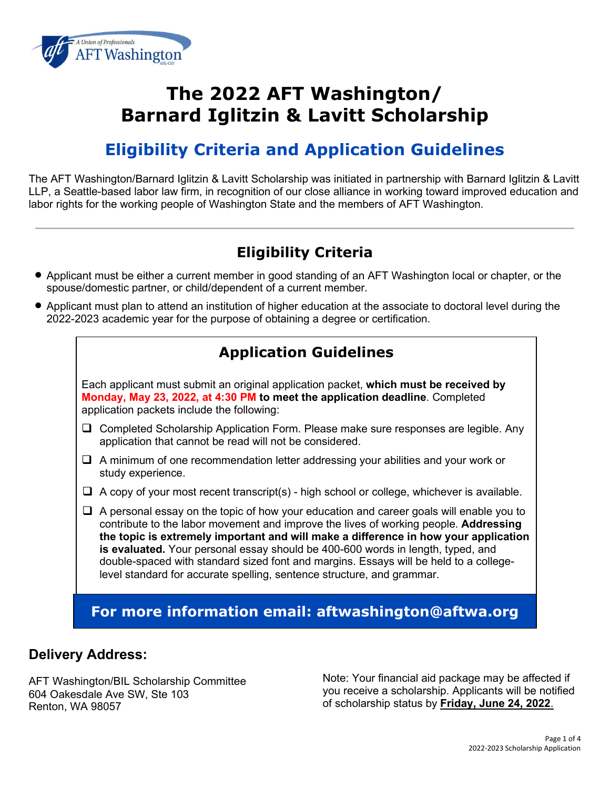

# **The 2022 AFT Washington/ Barnard Iglitzin & Lavitt Scholarship**

# **Eligibility Criteria and Application Guidelines**

The AFT Washington/Barnard Iglitzin & Lavitt Scholarship was initiated in partnership with Barnard Iglitzin & Lavitt LLP, a Seattle-based labor law firm, in recognition of our close alliance in working toward improved education and labor rights for the working people of Washington State and the members of AFT Washington.

### **Eligibility Criteria**

- Applicant must be either a current member in good standing of an AFT Washington local or chapter, or the spouse/domestic partner, or child/dependent of a current member.
- Applicant must plan to attend an institution of higher education at the associate to doctoral level during the 2022-2023 academic year for the purpose of obtaining a degree or certification.

### **Application Guidelines**

Each applicant must submit an original application packet, **which must be received by Monday, May 23, 2022, at 4:30 PM to meet the application deadline**. Completed application packets include the following:

- $\Box$  Completed Scholarship Application Form. Please make sure responses are legible. Any application that cannot be read will not be considered.
- $\Box$  A minimum of one recommendation letter addressing your abilities and your work or study experience.
- $\Box$  A copy of your most recent transcript(s) high school or college, whichever is available.
- $\Box$  A personal essay on the topic of how your education and career goals will enable you to contribute to the labor movement and improve the lives of working people. **Addressing the topic is extremely important and will make a difference in how your application is evaluated.** Your personal essay should be 400-600 words in length, typed, and double-spaced with standard sized font and margins. Essays will be held to a collegelevel standard for accurate spelling, sentence structure, and grammar.

**For more information email: aftwashington@aftwa.org**

#### **Delivery Address:**

AFT Washington/BIL Scholarship Committee 604 Oakesdale Ave SW, Ste 103 Renton, WA 98057

Note: Your financial aid package may be affected if you receive a scholarship. Applicants will be notified of scholarship status by **Friday, June 24, 2022**.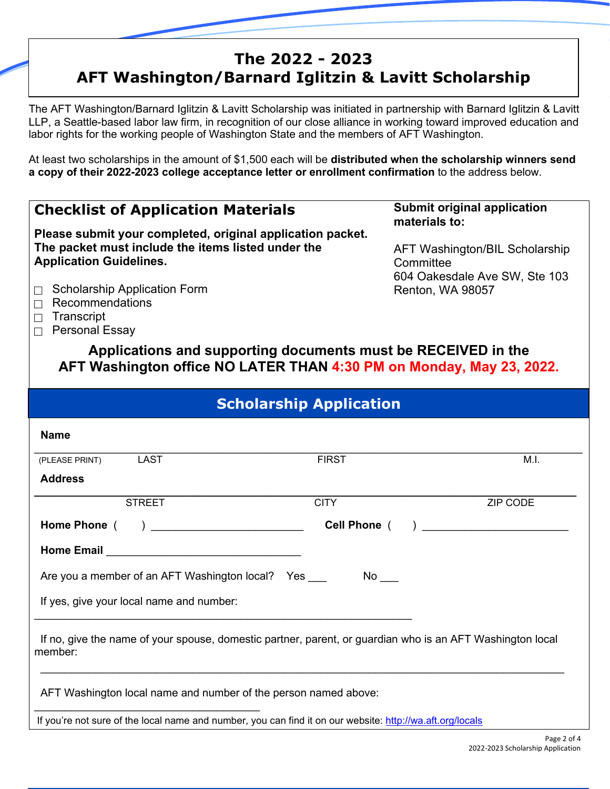# **The 2022 - 2023 AFT Washington/Barnard Iglitzin & Lavitt Scholarship**

The AFT Washington/Barnard Iglitzin & Lavitt Scholarship was initiated in partnership with Barnard Iglitzin & Lavitt LLP, a Seattle-based labor law firm, in recognition of our close alliance in working toward improved education and labor rights for the working people of Washington State and the members of AFT Washington.

At least two scholarships in the amount of \$1,500 each will be **distributed when the scholarship winners send a copy of their 2022-2023 college acceptance letter or enrollment confirmation** to the address below.

#### **Checklist of Application Materials Please submit your completed, original application packet. The packet must include the items listed under the Application Guidelines.**  $\Box$  Scholarship Application Form  $\Box$  Recommendations  $\Box$  Transcript  $\Box$  Personal Essay **Submit original application materials to:** AFT Washington/BIL Scholarship **Committee** 604 Oakesdale Ave SW, Ste 103 Renton, WA 98057 **Applications and supporting documents must be RECEIVED in the AFT Washington office NO LATER THAN 4:30 PM on Monday, May 23, 2022. Scholarship Application Name**   $\_$  , and the set of the set of the set of the set of the set of the set of the set of the set of the set of the set of the set of the set of the set of the set of the set of the set of the set of the set of the set of th (PLEASE PRINT) LAST CHEASE AND LAST FIRST FIRST AND LAST M.I.  **Address \_\_\_\_\_\_\_\_\_\_\_\_\_\_\_\_\_\_\_\_\_\_\_\_\_\_\_\_\_\_\_\_\_\_\_\_\_\_\_\_\_\_\_\_\_\_\_\_\_\_\_\_\_\_\_\_\_\_\_\_\_\_\_\_\_\_\_\_\_\_\_\_\_\_\_\_\_\_\_\_\_\_\_\_\_\_\_\_\_** STREET CITY CITY THE STREET STREET AND THE STREET AND THE STREET AND THE STREET AND THE STREET AND THE STREET  **Home Phone** ( ) \_\_\_\_\_\_\_\_\_\_\_\_\_\_\_\_\_\_\_\_\_\_\_\_\_ **Cell Phone** ( ) \_\_\_\_\_\_\_\_\_\_\_\_\_\_\_\_\_\_\_\_\_\_\_\_ **Home Email Example 20 and 20 and 20 and 20 and 20 and 20 and 20 and 20 and 20 and 20 and 20 and 20 and 20 and 20 and 20 and 20 and 20 and 20 and 20 and 20 and 20 and 20 and 20 and 20 and 20 and 20 and 20 and 20 and 20 a** Are you a member of an AFT Washington local? Yes No If yes, give your local name and number:  $\_$  , and the set of the set of the set of the set of the set of the set of the set of the set of the set of the set of the set of the set of the set of the set of the set of the set of the set of the set of the set of th If no, give the name of your spouse, domestic partner, parent, or guardian who is an AFT Washington local member:  $\frac{1}{2}$  ,  $\frac{1}{2}$  ,  $\frac{1}{2}$  ,  $\frac{1}{2}$  ,  $\frac{1}{2}$  ,  $\frac{1}{2}$  ,  $\frac{1}{2}$  ,  $\frac{1}{2}$  ,  $\frac{1}{2}$  ,  $\frac{1}{2}$  ,  $\frac{1}{2}$  ,  $\frac{1}{2}$  ,  $\frac{1}{2}$  ,  $\frac{1}{2}$  ,  $\frac{1}{2}$  ,  $\frac{1}{2}$  ,  $\frac{1}{2}$  ,  $\frac{1}{2}$  ,  $\frac{1$  AFT Washington local name and number of the person named above: \_\_\_\_\_\_\_\_\_\_\_\_\_\_\_\_\_\_\_\_\_\_\_\_\_\_\_\_\_\_\_\_\_\_\_\_\_ If you're not sure of the local name and number, you can find it on our website:<http://wa.aft.org/locals>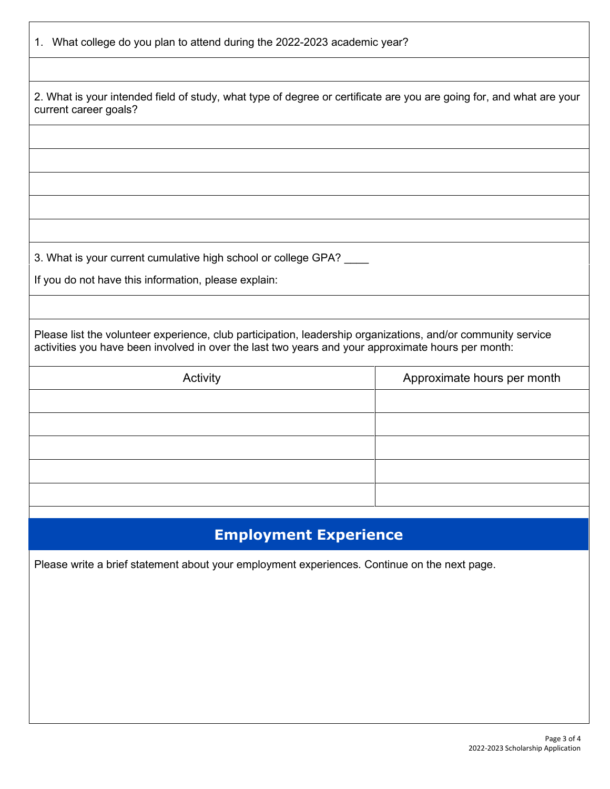| 1. What college do you plan to attend during the 2022-2023 academic year?                                                                                                                                          |                             |  |
|--------------------------------------------------------------------------------------------------------------------------------------------------------------------------------------------------------------------|-----------------------------|--|
|                                                                                                                                                                                                                    |                             |  |
| 2. What is your intended field of study, what type of degree or certificate are you are going for, and what are your<br>current career goals?                                                                      |                             |  |
|                                                                                                                                                                                                                    |                             |  |
|                                                                                                                                                                                                                    |                             |  |
|                                                                                                                                                                                                                    |                             |  |
|                                                                                                                                                                                                                    |                             |  |
|                                                                                                                                                                                                                    |                             |  |
| 3. What is your current cumulative high school or college GPA?                                                                                                                                                     |                             |  |
| If you do not have this information, please explain:                                                                                                                                                               |                             |  |
|                                                                                                                                                                                                                    |                             |  |
| Please list the volunteer experience, club participation, leadership organizations, and/or community service<br>activities you have been involved in over the last two years and your approximate hours per month: |                             |  |
| Activity                                                                                                                                                                                                           | Approximate hours per month |  |
|                                                                                                                                                                                                                    |                             |  |
|                                                                                                                                                                                                                    |                             |  |
|                                                                                                                                                                                                                    |                             |  |
|                                                                                                                                                                                                                    |                             |  |
|                                                                                                                                                                                                                    |                             |  |
| <b>Employment Experience</b>                                                                                                                                                                                       |                             |  |
| Please write a brief statement about your employment experiences. Continue on the next page.                                                                                                                       |                             |  |

 $\Gamma$ 

 $\overline{\phantom{a}}$